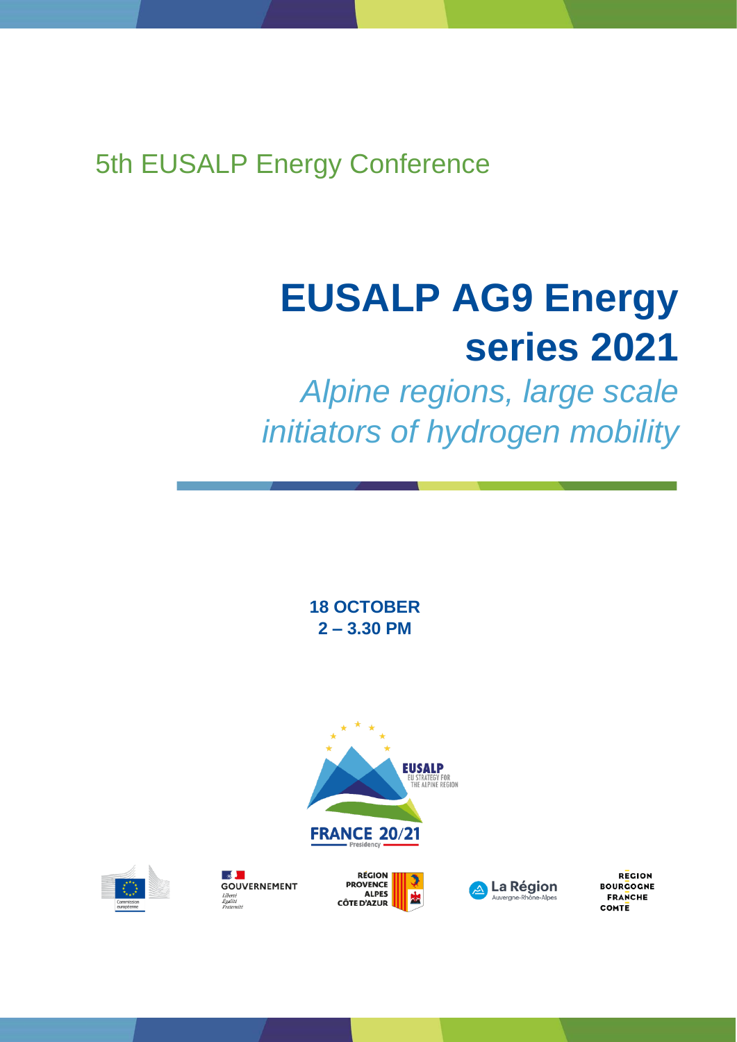5th EUSALP Energy Conference

# **EUSALP AG9 Energy series 2021**

*Alpine regions, large scale initiators of hydrogen mobility*

> **18 OCTOBER 2 – 3.30 PM**





 $\frac{1}{2}$ **GOUVERNEMENT** Liberté<br>Égalité<br>Ersternité





**REGION BOURGOGNE FRANCHE** COMTE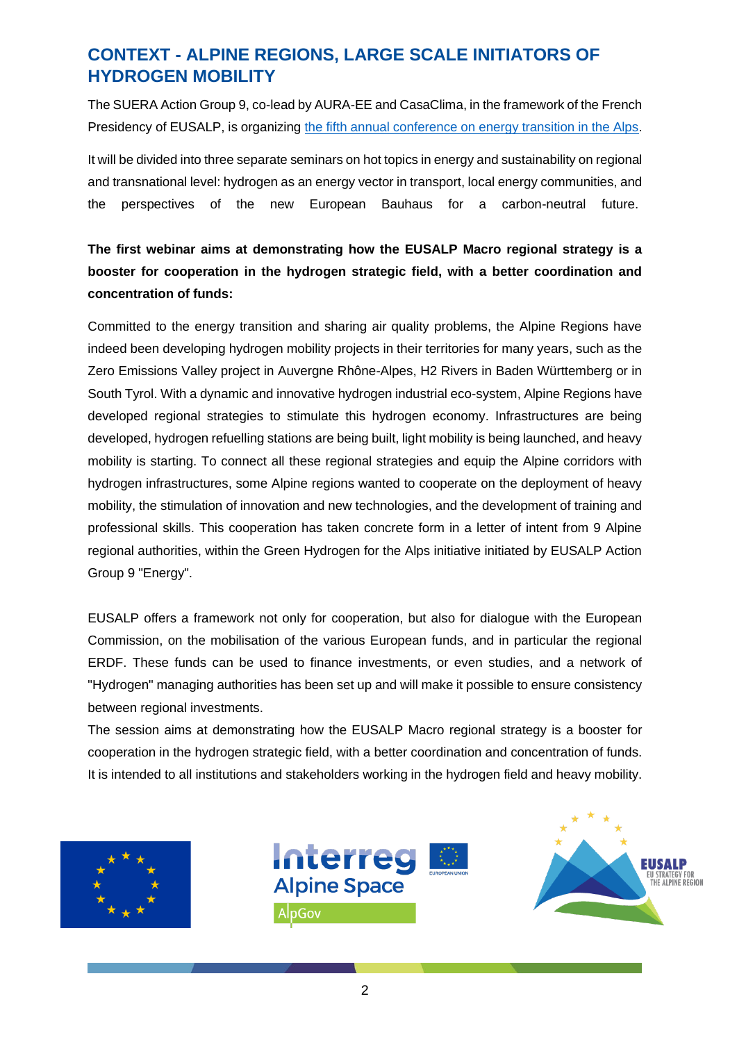## **CONTEXT - ALPINE REGIONS, LARGE SCALE INITIATORS OF HYDROGEN MOBILITY**

The SUERA Action Group 9, co-lead by AURA-EE and CasaClima, in the framework of the French Presidency of EUSALP, is organizing [the fifth annual conference on energy transition in the Alps.](https://www.alpine-region.eu/events/5th-eusalp-energy-conference)

It will be divided into three separate seminars on hot topics in energy and sustainability on regional and transnational level: hydrogen as an energy vector in transport, local energy communities, and the perspectives of the new European Bauhaus for a carbon-neutral future.

### **The first webinar aims at demonstrating how the EUSALP Macro regional strategy is a booster for cooperation in the hydrogen strategic field, with a better coordination and concentration of funds:**

Committed to the energy transition and sharing air quality problems, the Alpine Regions have indeed been developing hydrogen mobility projects in their territories for many years, such as the Zero Emissions Valley project in Auvergne Rhône-Alpes, H2 Rivers in Baden Württemberg or in South Tyrol. With a dynamic and innovative hydrogen industrial eco-system, Alpine Regions have developed regional strategies to stimulate this hydrogen economy. Infrastructures are being developed, hydrogen refuelling stations are being built, light mobility is being launched, and heavy mobility is starting. To connect all these regional strategies and equip the Alpine corridors with hydrogen infrastructures, some Alpine regions wanted to cooperate on the deployment of heavy mobility, the stimulation of innovation and new technologies, and the development of training and professional skills. This cooperation has taken concrete form in a letter of intent from 9 Alpine regional authorities, within the Green Hydrogen for the Alps initiative initiated by EUSALP Action Group 9 "Energy".

EUSALP offers a framework not only for cooperation, but also for dialogue with the European Commission, on the mobilisation of the various European funds, and in particular the regional ERDF. These funds can be used to finance investments, or even studies, and a network of "Hydrogen" managing authorities has been set up and will make it possible to ensure consistency between regional investments.

The session aims at demonstrating how the EUSALP Macro regional strategy is a booster for cooperation in the hydrogen strategic field, with a better coordination and concentration of funds. It is intended to all institutions and stakeholders working in the hydrogen field and heavy mobility.